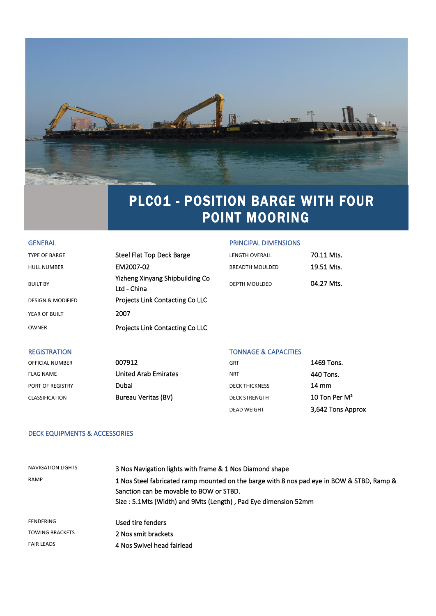

# PLC01 - POSITION BARGE WITH FOUR POINT MOORING

#### GENERAL GENERAL PRINCIPAL DIMENSIONS

| <b>TYPE OF BARGE</b>         | Steel Flat Top Deck Barge                      | <b>LENGTH OVERALL</b>  | 70.11 Mts. |
|------------------------------|------------------------------------------------|------------------------|------------|
| <b>HULL NUMBER</b>           | EM2007-02                                      | <b>BREADTH MOULDED</b> | 19.51 Mts. |
| <b>BUILT BY</b>              | Yizheng Xinyang Shipbuilding Co<br>Ltd - China | DEPTH MOULDED          | 04.27 Mts. |
| <b>DESIGN &amp; MODIFIED</b> | <b>Projects Link Contacting Co LLC</b>         |                        |            |
| YEAR OF BUILT                | 2007                                           |                        |            |
| <b>OWNER</b>                 | Projects Link Contacting Co LLC                |                        |            |
|                              |                                                |                        |            |

#### REGISTRATION **TONNAGE & CAPACITIES**

| <b>OFFICIAL NUMBER</b> | 007912                      | <b>GRT</b>            | 1469 Tons.        |
|------------------------|-----------------------------|-----------------------|-------------------|
| <b>FLAG NAME</b>       | <b>United Arab Emirates</b> | <b>NRT</b>            | 440 Tons.         |
| PORT OF REGISTRY       | Dubai                       | <b>DECK THICKNESS</b> | 14 mm             |
| <b>CLASSIFICATION</b>  | <b>Bureau Veritas (BV)</b>  | <b>DECK STRENGTH</b>  | 10 Ton Per $M^2$  |
|                        |                             | <b>DEAD WEIGHT</b>    | 3,642 Tons Approx |

#### DECK EQUIPMENTS & ACCESSORIES

| NAVIGATION LIGHTS      | 3 Nos Navigation lights with frame & 1 Nos Diamond shape                                                                                                                                               |
|------------------------|--------------------------------------------------------------------------------------------------------------------------------------------------------------------------------------------------------|
| <b>RAMP</b>            | 1 Nos Steel fabricated ramp mounted on the barge with 8 nos pad eye in BOW & STBD, Ramp &<br>Sanction can be movable to BOW or STBD.<br>Size: 5.1Mts (Width) and 9Mts (Length), Pad Eye dimension 52mm |
| <b>FENDERING</b>       | Used tire fenders                                                                                                                                                                                      |
| <b>TOWING BRACKETS</b> | 2 Nos smit brackets                                                                                                                                                                                    |
| <b>FAIR LEADS</b>      | 4 Nos Swivel head fairlead                                                                                                                                                                             |